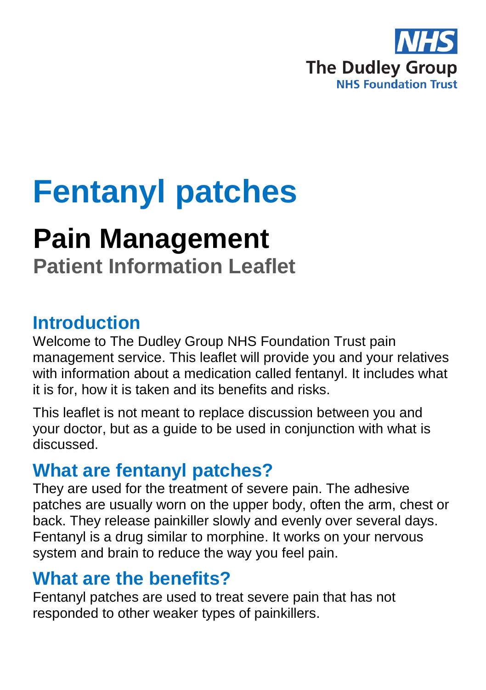

# **Fentanyl patches**

# **Pain Management**

**Patient Information Leaflet**

#### **Introduction**

Welcome to The Dudley Group NHS Foundation Trust pain management service. This leaflet will provide you and your relatives with information about a medication called fentanyl. It includes what it is for, how it is taken and its benefits and risks.

This leaflet is not meant to replace discussion between you and your doctor, but as a guide to be used in conjunction with what is discussed.

#### **What are fentanyl patches?**

They are used for the treatment of severe pain. The adhesive patches are usually worn on the upper body, often the arm, chest or back. They release painkiller slowly and evenly over several days. Fentanyl is a drug similar to morphine. It works on your nervous system and brain to reduce the way you feel pain.

#### **What are the benefits?**

Fentanyl patches are used to treat severe pain that has not responded to other weaker types of painkillers.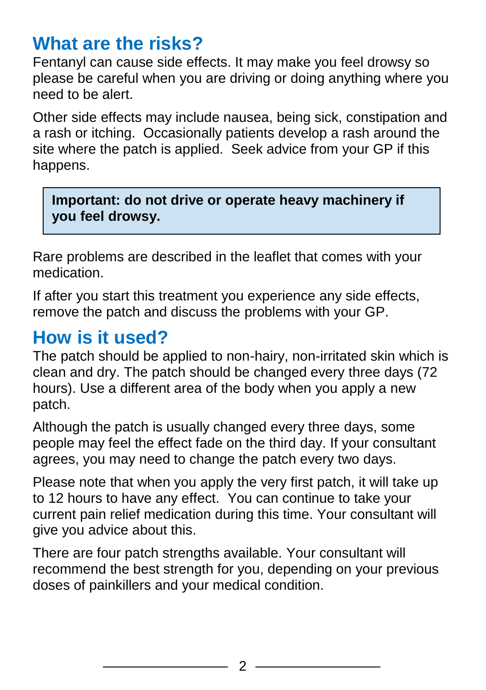#### **What are the risks?**

Fentanyl can cause side effects. It may make you feel drowsy so please be careful when you are driving or doing anything where you need to be alert.

Other side effects may include nausea, being sick, constipation and a rash or itching. Occasionally patients develop a rash around the site where the patch is applied. Seek advice from your GP if this happens.

**Important: do not drive or operate heavy machinery if you feel drowsy.**

Rare problems are described in the leaflet that comes with your medication.

If after you start this treatment you experience any side effects, remove the patch and discuss the problems with your GP.

#### **How is it used?**

The patch should be applied to non-hairy, non-irritated skin which is clean and dry. The patch should be changed every three days (72 hours). Use a different area of the body when you apply a new patch.

Although the patch is usually changed every three days, some people may feel the effect fade on the third day. If your consultant agrees, you may need to change the patch every two days.

Please note that when you apply the very first patch, it will take up to 12 hours to have any effect. You can continue to take your current pain relief medication during this time. Your consultant will give you advice about this.

There are four patch strengths available. Your consultant will recommend the best strength for you, depending on your previous doses of painkillers and your medical condition.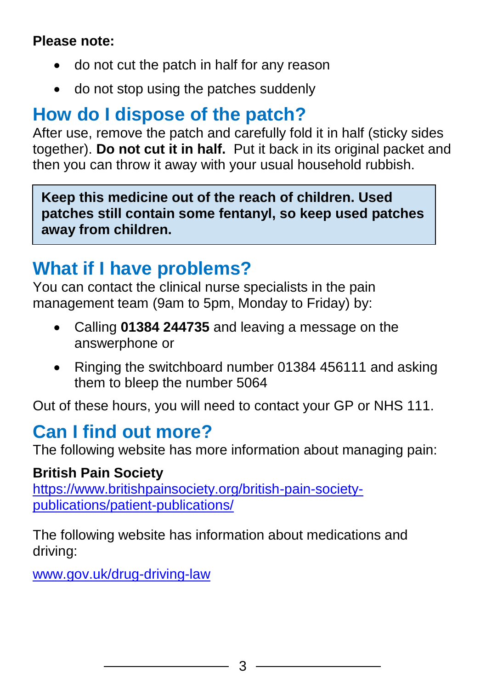#### **Please note:**

- do not cut the patch in half for any reason
- do not stop using the patches suddenly

## **How do I dispose of the patch?**

After use, remove the patch and carefully fold it in half (sticky sides together). **Do not cut it in half.** Put it back in its original packet and then you can throw it away with your usual household rubbish.

**Keep this medicine out of the reach of children. Used patches still contain some fentanyl, so keep used patches away from children.** 

## **What if I have problems?**

You can contact the clinical nurse specialists in the pain management team (9am to 5pm, Monday to Friday) by:

- Calling **01384 244735** and leaving a message on the answerphone or
- Ringing the switchboard number 01384 456111 and asking them to bleep the number 5064

Out of these hours, you will need to contact your GP or NHS 111.

#### **Can I find out more?**

The following website has more information about managing pain:

#### **British Pain Society**

[https://www.britishpainsociety.org/british-pain-society](https://www.britishpainsociety.org/british-pain-society-publications/patient-publications/)[publications/patient-publications/](https://www.britishpainsociety.org/british-pain-society-publications/patient-publications/)

The following website has information about medications and driving:

[www.gov.uk/drug-driving-law](file:///C:/Users/User/Desktop/New%20folder/www.gov.uk/drug-driving-law)